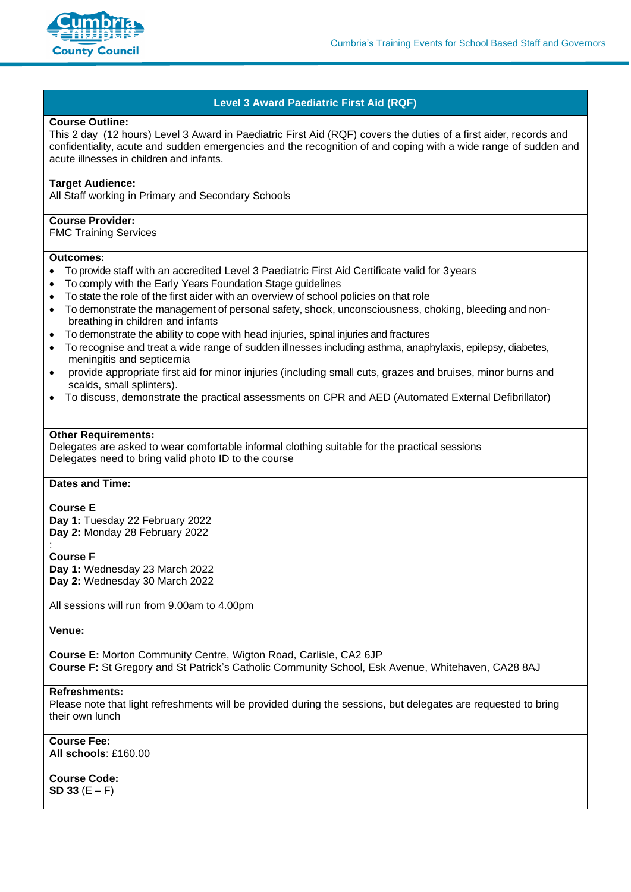

# **Level 3 Award Paediatric First Aid (RQF)**

### **Course Outline:**

This 2 day (12 [hours\) Level 3 Award in Paediatric First Aid \(RQF\)](http://link.highfieldabc.com/wf/click?upn=qrwnISMXzmCRC4Gr0eT0MSwPYqGe1tkh1Z6m-2FQo9wD6lA-2F7qtWgZRguOiFf6Y6pSRR2KLAsm0DjUEyKQGmLlgLNFb03Dw8XJhSynOp51c1U-3D_TA2wCkkTNIaBE-2BMq5zgMkgdBodIjTPMLq4DWN8Yj13iVTYzymD-2FKv1IO2plUNYJxaLJkERh1IIJz3aHBNViKHFPDOZoj2sPJOx83BBnDtW47DJVxTD-2FI02lZB8u-2Fs5TWu9iosZV-2FTMoLOmQ0Xrxjm1PrWcmcpJiTDat2dDSXCeU1NjS7EAoSukViQPaAmcdEuw3eFa6ulmXW3NQ9DSwXgaQHLZQ1GkCBxutmmCuoKx-2FBg-2FqaF7UuNhbbWIkbfgRB8Zipn1HxWBgl29sdYxm2WKFnlO-2BNgtEkJIFlIhEe-2BLjEEw6tmgACXoaw2apmFurC1zYiFNbRlfY0euNzcNV3xtnnCUEchwH5z7lUNvzoY-2F-2BYnsGJBwBcEJsoQ-2Be3kB8cFIBVz6XGmtyRJoyjWWTLH31otXuDMlWFdlJOC7lIBX55wqUJ4N-2BdXYgdCLttypn6KGS6s2xtaOTmVDLZGzth-2Bb2T1nnLQArIw1QnHXSzAJ8-3D) covers the duties of a first aider, records and confidentiality, acute and sudden emergencies and the recognition of and coping with a wide range of sudden and acute illnesses in children and infants.

## **Target Audience:**

All Staff working in Primary and Secondary Schools

### **Course Provider:**

FMC Training Services

#### **Outcomes:**

- To provide staff with an accredited Level 3 Paediatric First Aid Certificate valid for 3years
- To comply with the Early Years Foundation Stage guidelines
- To state the role of the first aider with an overview of school policies on that role
- To demonstrate the management of personal safety, shock, unconsciousness, choking, bleeding and nonbreathing in children and infants
- To demonstrate the ability to cope with head injuries, spinal injuries and fractures
- To recognise and treat a wide range of sudden illnesses including asthma, anaphylaxis, epilepsy, diabetes, meningitis and septicemia
- provide appropriate first aid for minor injuries (including small cuts, grazes and bruises, minor burns and scalds, small splinters).
- To discuss, demonstrate the practical assessments on CPR and AED (Automated External Defibrillator)

# **Other Requirements:**

Delegates are asked to wear comfortable informal clothing suitable for the practical sessions Delegates need to bring valid photo ID to the course

# **Dates and Time:**

**Course E**

**Day 1:** Tuesday 22 February 2022 **Day 2:** Monday 28 February 2022

**Course F**

:

**Day 1:** Wednesday 23 March 2022 **Day 2:** Wednesday 30 March 2022

All sessions will run from 9.00am to 4.00pm

**Venue:**

**Course E:** Morton Community Centre, Wigton Road, Carlisle, CA2 6JP **Course F:** St Gregory and St Patrick's Catholic Community School, Esk Avenue, Whitehaven, CA28 8AJ

#### **Refreshments:**

Please note that light refreshments will be provided during the sessions, but delegates are requested to bring their own lunch

**Course Fee: All schools**: £160.00

**Course Code: SD 33** (E – F)